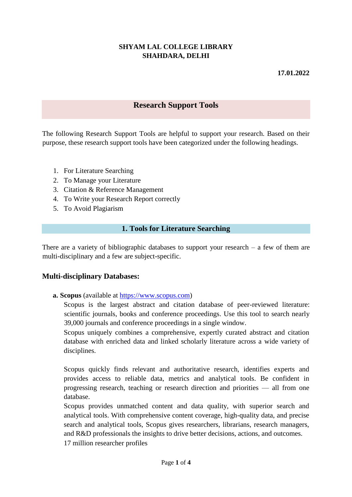## **SHYAM LAL COLLEGE LIBRARY SHAHDARA, DELHI**

### **17.01.2022**

# **Research Support Tools**

The following Research Support Tools are helpful to support your research. Based on their purpose, these research support tools have been categorized under the following headings.

- 1. For Literature Searching
- 2. To Manage your Literature
- 3. Citation & Reference Management
- 4. To Write your Research Report correctly
- 5. To Avoid Plagiarism

#### **1. Tools for Literature Searching**

There are a variety of bibliographic databases to support your research  $-$  a few of them are multi-disciplinary and a few are subject-specific.

#### **Multi-disciplinary Databases:**

**a. Scopus** (available at [https://www.scopus.com\)](https://www.scopus.com/)

Scopus is the largest abstract and citation database of peer-reviewed literature: scientific journals, books and conference proceedings. Use this tool to search nearly 39,000 journals and conference proceedings in a single window.

Scopus uniquely combines a comprehensive, expertly curated abstract and citation database with enriched data and linked scholarly literature across a wide variety of disciplines.

Scopus quickly finds relevant and authoritative research, identifies experts and provides access to reliable data, metrics and analytical tools. Be confident in progressing research, teaching or research direction and priorities — all from one database.

Scopus provides unmatched content and data quality, with superior search and analytical tools. With comprehensive content coverage, high-quality data, and precise search and analytical tools, Scopus gives researchers, librarians, research managers, and R&D professionals the insights to drive better decisions, actions, and outcomes. 17 million researcher profiles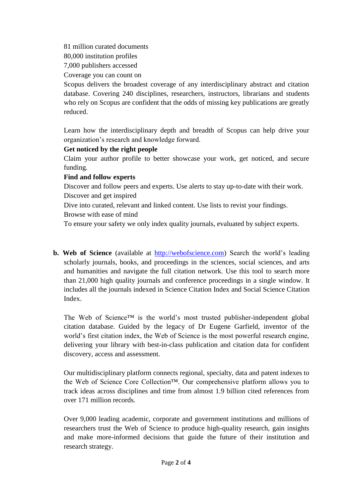81 million curated documents

80,000 institution profiles

7,000 publishers accessed

Coverage you can count on

Scopus delivers the broadest coverage of any interdisciplinary abstract and citation database. Covering 240 disciplines, researchers, instructors, librarians and students who rely on Scopus are confident that the odds of missing key publications are greatly reduced.

Learn how the interdisciplinary depth and breadth of Scopus can help drive your organization's research and knowledge forward.

# **Get noticed by the right people**

Claim your author profile to better showcase your work, get noticed, and secure funding.

## **Find and follow experts**

Discover and follow peers and experts. Use alerts to stay up-to-date with their work. Discover and get inspired

Dive into curated, relevant and linked content. Use lists to revist your findings.

Browse with ease of mind

To ensure your safety we only index quality journals, evaluated by subject experts.

**b. Web of Science** (available at [http://webofscience.com\)](http://webofscience.com/) Search the world's leading scholarly journals, books, and proceedings in the sciences, social sciences, and arts and humanities and navigate the full citation network. Use this tool to search more than 21,000 high quality journals and conference proceedings in a single window. It includes all the journals indexed in Science Citation Index and Social Science Citation Index.

The Web of Science™ is the world's most trusted publisher-independent global citation database. Guided by the legacy of Dr Eugene Garfield, inventor of the world's first citation index, the Web of Science is the most powerful research engine, delivering your library with best-in-class publication and citation data for confident discovery, access and assessment.

Our multidisciplinary platform connects regional, specialty, data and patent indexes to the Web of Science Core Collection™. Our comprehensive platform allows you to track ideas across disciplines and time from almost 1.9 billion cited references from over 171 million records.

Over 9,000 leading academic, corporate and government institutions and millions of researchers trust the Web of Science to produce high-quality research, gain insights and make more-informed decisions that guide the future of their institution and research strategy.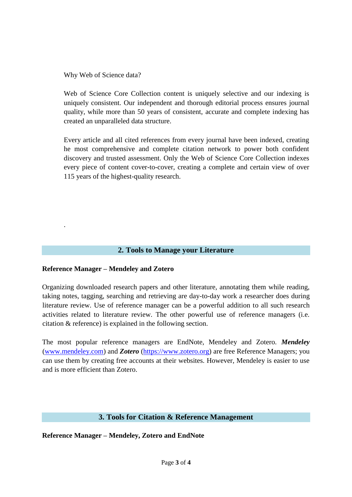Why Web of Science data?

Web of Science Core Collection content is uniquely selective and our indexing is uniquely consistent. Our independent and thorough editorial process ensures journal quality, while more than 50 years of consistent, accurate and complete indexing has created an unparalleled data structure.

Every article and all cited references from every journal have been indexed, creating he most comprehensive and complete citation network to power both confident discovery and trusted assessment. Only the Web of Science Core Collection indexes every piece of content cover-to-cover, creating a complete and certain view of over 115 years of the highest-quality research.

### **2. Tools to Manage your Literature**

#### **Reference Manager – Mendeley and Zotero**

.

Organizing downloaded research papers and other literature, annotating them while reading, taking notes, tagging, searching and retrieving are day-to-day work a researcher does during literature review. Use of reference manager can be a powerful addition to all such research activities related to literature review. The other powerful use of reference managers (i.e. citation & reference) is explained in the following section.

The most popular reference managers are EndNote, Mendeley and Zotero. *Mendeley* [\(www.mendeley.com\)](http://www.mendeley.com/) and *Zotero* [\(https://www.zotero.org\)](https://www.zotero.org/) are free Reference Managers; you can use them by creating free accounts at their websites. However, Mendeley is easier to use and is more efficient than Zotero.

## **3. Tools for Citation & Reference Management**

**Reference Manager – Mendeley, Zotero and EndNote**